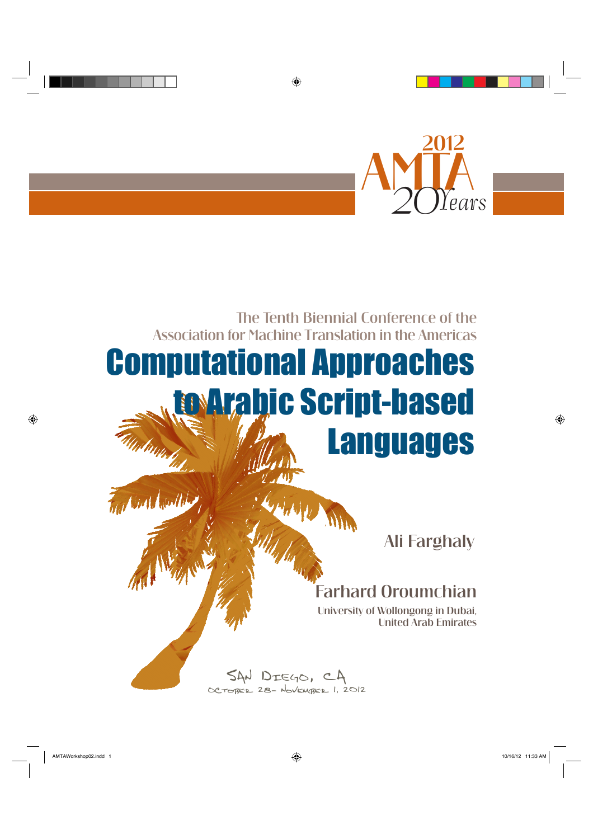

## Computational Approaches to Arabic Script-based Languages Association for Machine Translation in the Americas

The Tenth Biennial Conference of the

Ali Farghaly

## Farhard Oroumchian

University of Wollongong in Dubai, United Arab Emirates

SAN DIEGO, CA<br>OCTOBER 28- November 1, 2012

 $\bigoplus$ 

 $\bigoplus$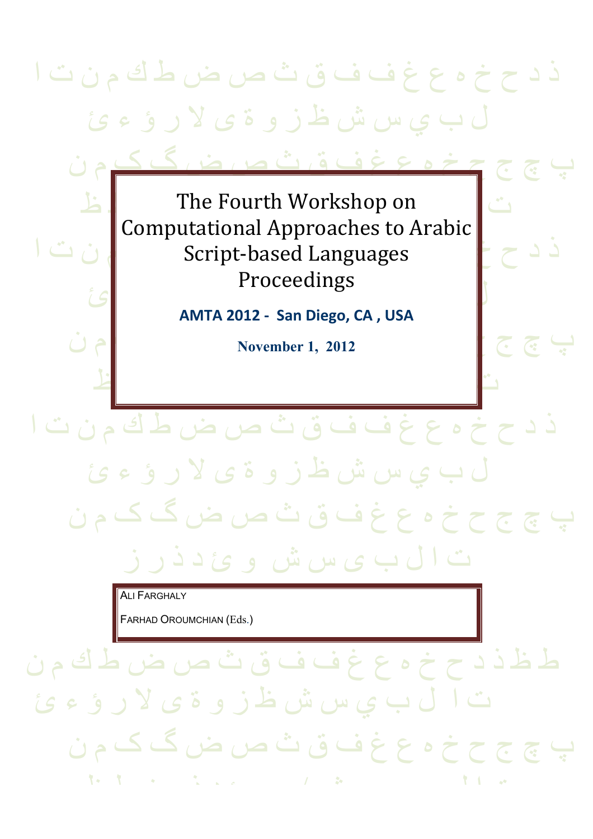# ذ د ح خ ه ع غ ف ف ق ث ص ض ط ك م ن ت ا ل ب ي س ش ظ ز و ة ى لا ر ؤ ء ئ

پ چ ج ح خ ه ع غ ف ق ث ص ض گ ک م ن

ت | The Fourth Workshop on | مط ذ د ح خ ه ع غ ف ف ق ث ص ض ط ك م ن ت ا Script-based Languages ل ب ب ب ال س مع الم السم السم المسلم المراس المسلم المراس المسلم المسلم المسلم المسلم المسلم المسلم المسلم الم<br>توسيع المسلم المسلم المسلم المسلم المسلم المسلم المسلم المسلم المسلم المسلم المسلم المسلم المسلم المسلم المسلم Computational Approaches to Arabic Proceedings

**AMTA 2012 - San Diego, CA , USA**

پ چ ج ح خ ه ع غ ف ق ث ص ض گ ک م ن **November 1, 2012**

 $\mathbf{F}$  is the set of the set of the set of the set of the set of the set of the set of the set of the set of the set of the set of the set of the set of the set of the set of the set of the set of the set of the set of

ذ د ح خ ه ع غ ف ف ق ث ص ض ط ك م ن ت ا

ت ا ل ب ی س ش و ئ د ذ ر ز

پ چ ج ح خ ه ع غ ف ق ث ص ض گ ک م ن

ل ب ي س ش ظ ز و ة ى لا ر ؤ ء ئ

**ALI FARGHALY** 

FARHAD OROUMCHIAN (Eds.)

ط ظ ذ د ح خ ه ع غ ف ف ق ث ص ض ط ك م ن ب ي س ش ظ ز و ة ى لا ر ؤ ء ئ پ چ ج ح خ ه ع غ ف ق ث ص ض گ ک م ن  $\mathbf{t} \cdot \mathbf{t}$  , the function of  $\mathbf{t}$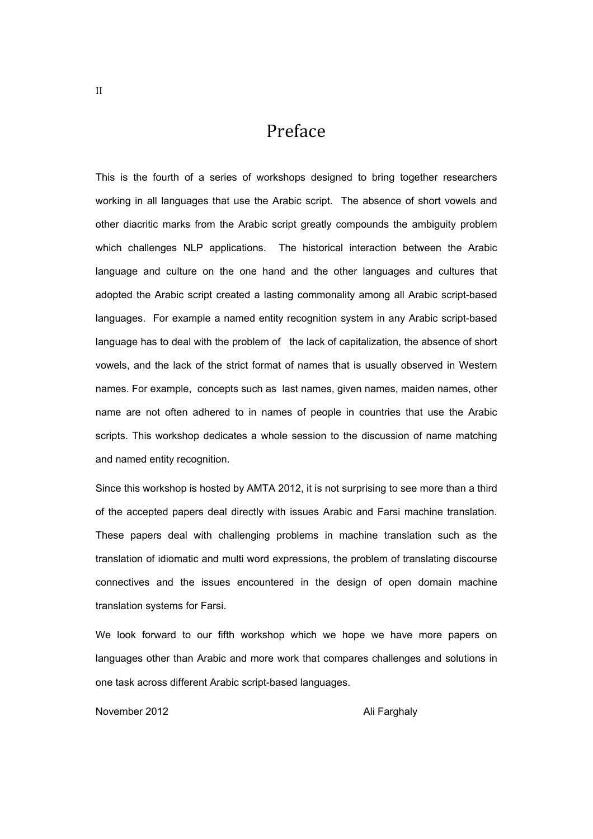## Preface

This is the fourth of a series of workshops designed to bring together researchers working in all languages that use the Arabic script. The absence of short vowels and other diacritic marks from the Arabic script greatly compounds the ambiguity problem which challenges NLP applications. The historical interaction between the Arabic language and culture on the one hand and the other languages and cultures that adopted the Arabic script created a lasting commonality among all Arabic script-based languages. For example a named entity recognition system in any Arabic script-based language has to deal with the problem of the lack of capitalization, the absence of short vowels, and the lack of the strict format of names that is usually observed in Western names. For example, concepts such as last names, given names, maiden names, other name are not often adhered to in names of people in countries that use the Arabic scripts. This workshop dedicates a whole session to the discussion of name matching and named entity recognition.

Since this workshop is hosted by AMTA 2012, it is not surprising to see more than a third of the accepted papers deal directly with issues Arabic and Farsi machine translation. These papers deal with challenging problems in machine translation such as the translation of idiomatic and multi word expressions, the problem of translating discourse connectives and the issues encountered in the design of open domain machine translation systems for Farsi.

We look forward to our fifth workshop which we hope we have more papers on languages other than Arabic and more work that compares challenges and solutions in one task across different Arabic script-based languages.

November 2012 **Ali Farghaly**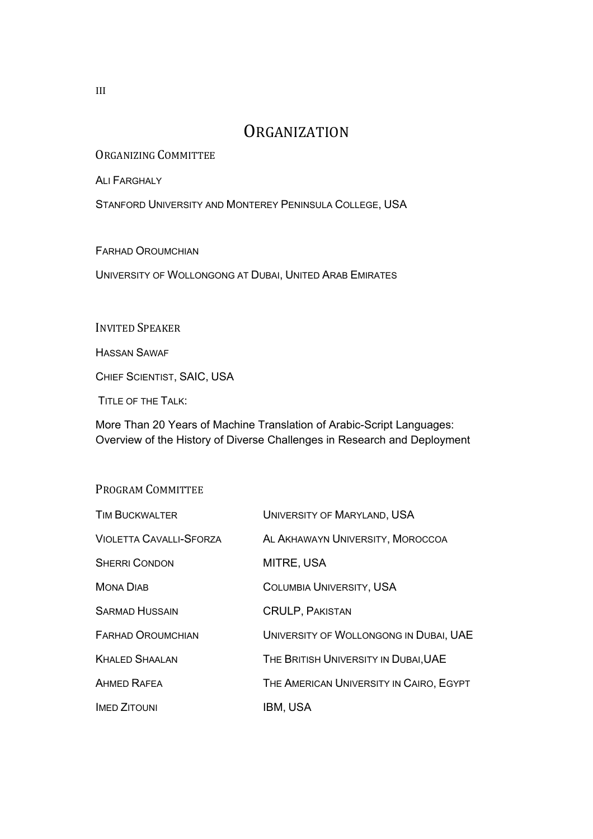### **ORGANIZATION**

ORGANIZING COMMITTEE

ALI FARGHALY

STANFORD UNIVERSITY AND MONTEREY PENINSULA COLLEGE, USA

FARHAD OROUMCHIAN

UNIVERSITY OF WOLLONGONG AT DUBAI, UNITED ARAB EMIRATES

INVITED SPEAKER

HASSAN SAWAF

CHIEF SCIENTIST, SAIC, USA

TITLE OF THE TALK:

More Than 20 Years of Machine Translation of Arabic-Script Languages: Overview of the History of Diverse Challenges in Research and Deployment

#### PROGRAM COMMITTEE

| <b>TIM BUCKWALTER</b>          | UNIVERSITY OF MARYLAND, USA             |
|--------------------------------|-----------------------------------------|
| <b>VIOLETTA CAVALLI-SFORZA</b> | AL AKHAWAYN UNIVERSITY, MOROCCOA        |
| <b>SHERRI CONDON</b>           | MITRE, USA                              |
| <b>MONA DIAB</b>               | <b>COLUMBIA UNIVERSITY, USA</b>         |
| <b>SARMAD HUSSAIN</b>          | <b>CRULP, PAKISTAN</b>                  |
| <b>FARHAD OROUMCHIAN</b>       | UNIVERSITY OF WOLLONGONG IN DUBAI, UAE  |
| <b>KHALED SHAALAN</b>          | THE BRITISH UNIVERSITY IN DUBAI, UAE    |
| <b>AHMED RAFEA</b>             | THE AMERICAN UNIVERSITY IN CAIRO, EGYPT |
| <b>IMED ZITOUNI</b>            | IBM, USA                                |

III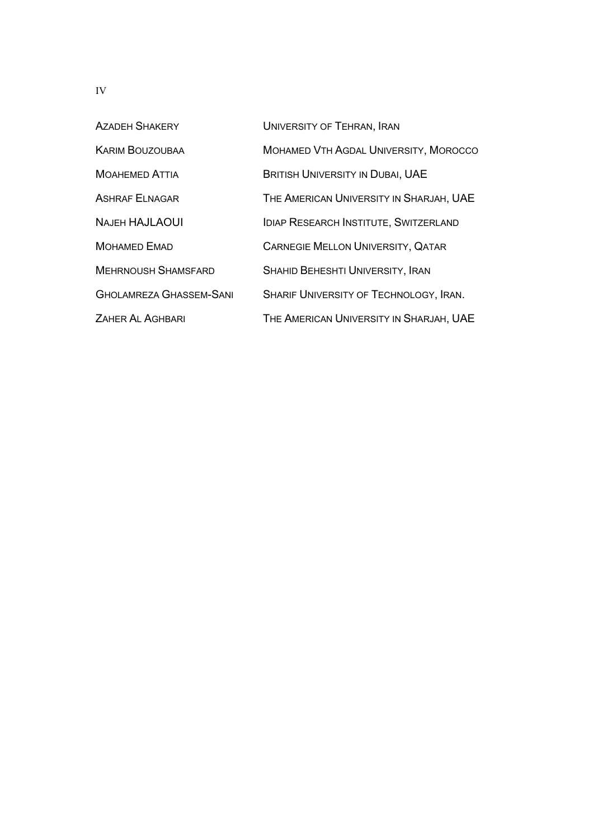| <b>AZADEH SHAKERY</b>          | UNIVERSITY OF TEHRAN, IRAN                   |
|--------------------------------|----------------------------------------------|
| <b>KARIM BOUZOUBAA</b>         | MOHAMED VTH AGDAL UNIVERSITY, MOROCCO        |
| <b>MOAHEMED ATTIA</b>          | <b>BRITISH UNIVERSITY IN DUBAI, UAE</b>      |
| <b>ASHRAF ELNAGAR</b>          | THE AMERICAN UNIVERSITY IN SHARJAH, UAE      |
| <b>NAJEH HAJLAOUI</b>          | <b>IDIAP RESEARCH INSTITUTE, SWITZERLAND</b> |
| <b>MOHAMED EMAD</b>            | <b>CARNEGIE MELLON UNIVERSITY, QATAR</b>     |
| <b>MEHRNOUSH SHAMSFARD</b>     | SHAHID BEHESHTI UNIVERSITY, IRAN             |
| <b>GHOLAMREZA GHASSEM-SANI</b> | SHARIF UNIVERSITY OF TECHNOLOGY, IRAN.       |
| ZAHER AL AGHBARI               | THE AMERICAN UNIVERSITY IN SHARJAH, UAE      |

IV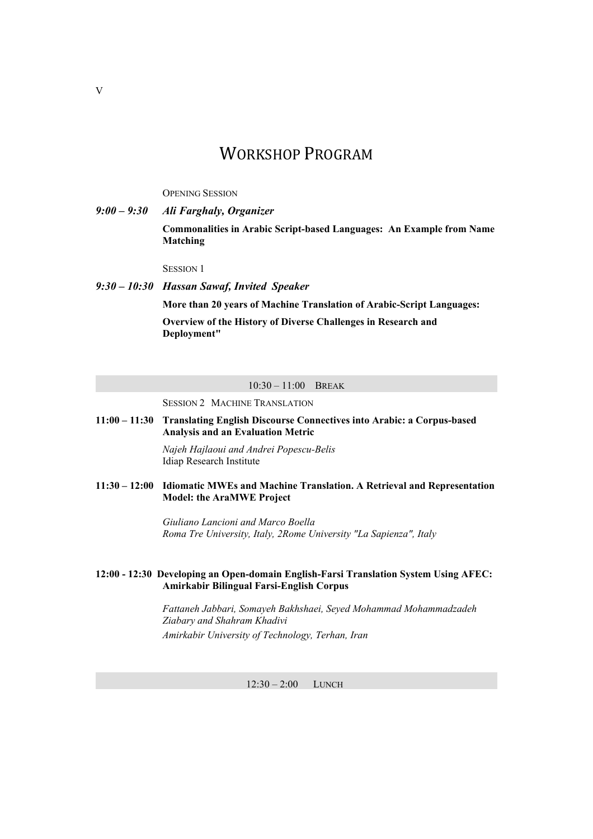## WORKSHOP PROGRAM

OPENING SESSION

*9:00 – 9:30 Ali Farghaly, Organizer* **Commonalities in Arabic Script-based Languages: An Example from Name Matching**

SESSION 1

*9:30 – 10:30 Hassan Sawaf, Invited Speaker* **More than 20 years of Machine Translation of Arabic-Script Languages: Overview of the History of Diverse Challenges in Research and** 

**Deployment"** 

#### 10:30 – 11:00 BREAK

SESSION 2 MACHINE TRANSLATION

**11:00 – 11:30 Translating English Discourse Connectives into Arabic: a Corpus-based Analysis and an Evaluation Metric**

> *Najeh Hajlaoui and Andrei Popescu-Belis* Idiap Research Institute

**11:30 – 12:00 Idiomatic MWEs and Machine Translation. A Retrieval and Representation Model: the AraMWE Project**

> *Giuliano Lancioni and Marco Boella Roma Tre University, Italy, 2Rome University "La Sapienza", Italy*

#### **12:00 - 12:30 Developing an Open-domain English-Farsi Translation System Using AFEC: Amirkabir Bilingual Farsi-English Corpus**

*Fattaneh Jabbari, Somayeh Bakhshaei, Seyed Mohammad Mohammadzadeh Ziabary and Shahram Khadivi Amirkabir University of Technology, Terhan, Iran*

12:30 – 2:00 LUNCH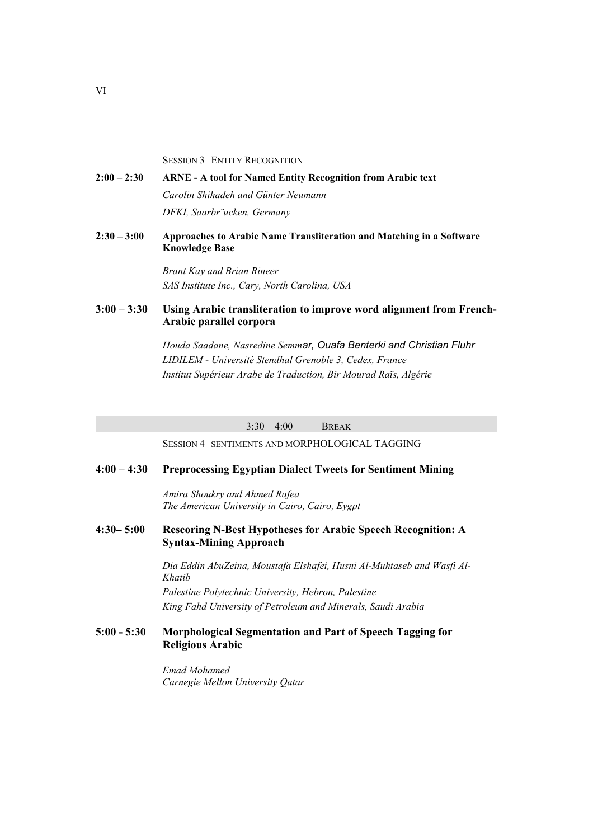SESSION 3 ENTITY RECOGNITION

#### **2:00 – 2:30 ARNE - A tool for Named Entity Recognition from Arabic text** *Carolin Shihadeh and Günter Neumann DFKI, Saarbr¨ucken, Germany*

**2:30 – 3:00 Approaches to Arabic Name Transliteration and Matching in a Software Knowledge Base**

> *Brant Kay and Brian Rineer SAS Institute Inc., Cary, North Carolina, USA*

#### **3:00 – 3:30 Using Arabic transliteration to improve word alignment from French-Arabic parallel corpora**

 *Houda Saadane, Nasredine Semmar, Ouafa Benterki and Christian Fluhr LIDILEM - Université Stendhal Grenoble 3, Cedex, France Institut Supérieur Arabe de Traduction, Bir Mourad Raïs, Algérie*

3:30 – 4:00 BREAK

SESSION 4 SENTIMENTS AND MORPHOLOGICAL TAGGING

#### **4:00 – 4:30 Preprocessing Egyptian Dialect Tweets for Sentiment Mining**

*Amira Shoukry and Ahmed Rafea The American University in Cairo, Cairo, Eygpt*

#### **4:30– 5:00 Rescoring N-Best Hypotheses for Arabic Speech Recognition: A Syntax-Mining Approach**

 *Dia Eddin AbuZeina, Moustafa Elshafei, Husni Al-Muhtaseb and Wasfi Al-Khatib Palestine Polytechnic University, Hebron, Palestine*

*King Fahd University of Petroleum and Minerals, Saudi Arabia*

#### **5:00 - 5:30 Morphological Segmentation and Part of Speech Tagging for Religious Arabic**

*Emad Mohamed Carnegie Mellon University Qatar*